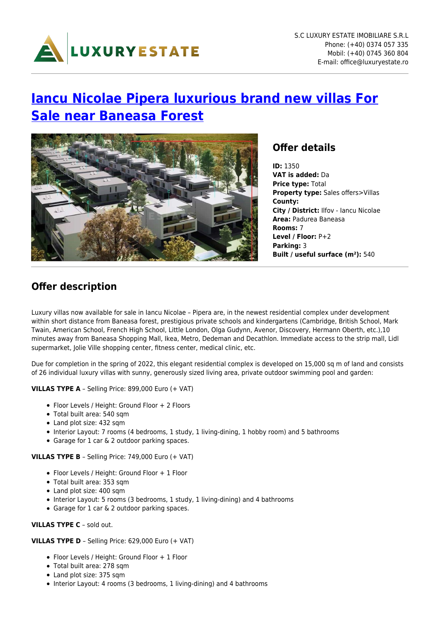

# **[Iancu Nicolae Pipera luxurious brand new villas For](https://www.luxuryestate.ro/en/oferte/vanzare-vile-de-lux-constructie-noua-padurea-baneasa-iancu-nicolae-pipera/) [Sale near Baneasa Forest](https://www.luxuryestate.ro/en/oferte/vanzare-vile-de-lux-constructie-noua-padurea-baneasa-iancu-nicolae-pipera/)**



### **Offer details**

**ID:** 1350 **VAT is added:** Da **Price type:** Total **Property type:** Sales offers>Villas **County: City / District:** Ilfov - Iancu Nicolae **Area:** Padurea Baneasa **Rooms:** 7 **Level / Floor:** P+2 **Parking:** 3 **Built / useful surface (m²):** 540

## **Offer description**

Luxury villas now available for sale in Iancu Nicolae – Pipera are, in the newest residential complex under development within short distance from Baneasa forest, prestigious private schools and kindergartens (Cambridge, British School, Mark Twain, American School, French High School, Little London, Olga Gudynn, Avenor, Discovery, Hermann Oberth, etc.),10 minutes away from Baneasa Shopping Mall, Ikea, Metro, Dedeman and Decathlon. Immediate access to the strip mall, Lidl supermarket, Jolie Ville shopping center, fitness center, medical clinic, etc.

Due for completion in the spring of 2022, this elegant residential complex is developed on 15,000 sq m of land and consists of 26 individual luxury villas with sunny, generously sized living area, private outdoor swimming pool and garden:

**VILLAS TYPE A** – Selling Price: 899,000 Euro (+ VAT)

- Floor Levels / Height: Ground Floor + 2 Floors
- Total built area: 540 sqm
- Land plot size: 432 sqm
- Interior Layout: 7 rooms (4 bedrooms, 1 study, 1 living-dining, 1 hobby room) and 5 bathrooms
- Garage for 1 car & 2 outdoor parking spaces.

**VILLAS TYPE B** – Selling Price: 749,000 Euro (+ VAT)

- Floor Levels / Height: Ground Floor + 1 Floor
- Total built area: 353 sqm
- Land plot size: 400 sqm
- Interior Layout: 5 rooms (3 bedrooms, 1 study, 1 living-dining) and 4 bathrooms
- Garage for 1 car & 2 outdoor parking spaces.

#### **VILLAS TYPE C** – sold out.

**VILLAS TYPE D** – Selling Price: 629,000 Euro (+ VAT)

- Floor Levels / Height: Ground Floor + 1 Floor
- Total built area: 278 sqm
- Land plot size: 375 sqm
- Interior Layout: 4 rooms (3 bedrooms, 1 living-dining) and 4 bathrooms